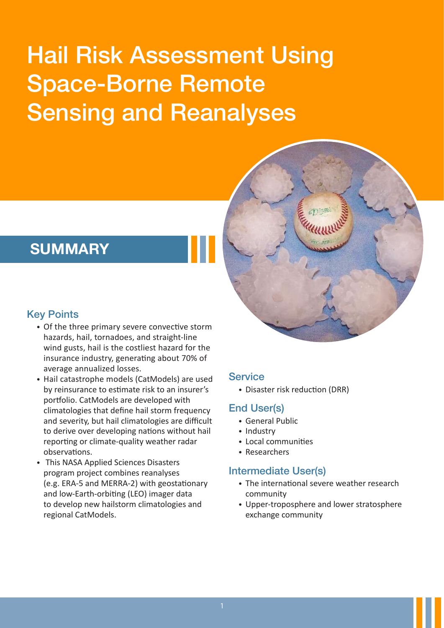# Hail Risk Assessment Using Space-Borne Remote Sensing and Reanalyses



## **SUMMARY**

#### Key Points

- ∙ Of the three primary severe convective storm hazards, hail, tornadoes, and straight-line wind gusts, hail is the costliest hazard for the insurance industry, generating about 70% of average annualized losses.
- ∙ Hail catastrophe models (CatModels) are used by reinsurance to estimate risk to an insurer's portfolio. CatModels are developed with climatologies that define hail storm frequency and severity, but hail climatologies are difficult to derive over developing nations without hail reporting or climate-quality weather radar observations.
- ∙ This NASA Applied Sciences Disasters program project combines reanalyses (e.g. ERA-5 and MERRA-2) with geostationary and low-Earth-orbiting (LEO) imager data to develop new hailstorm climatologies and regional CatModels.

## **Service**

∙ Disaster risk reduction (DRR)

## End User(s)

- ∙ General Public
- ∙ Industry
- ∙ Local communities
- ∙ Researchers

#### Intermediate User(s)

- ∙ The international severe weather research community
- ∙ Upper-troposphere and lower stratosphere exchange community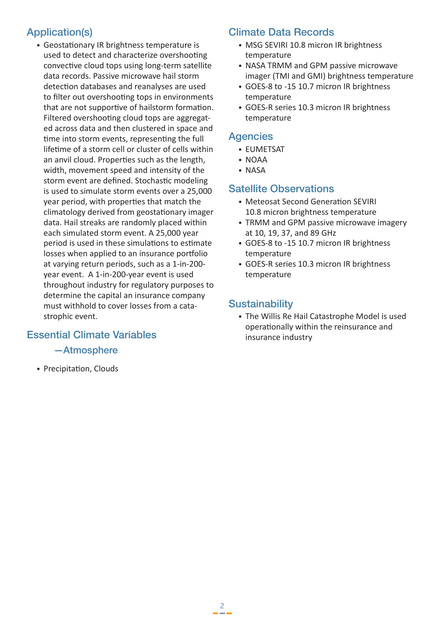## Application(s)

∙ Geostationary IR brightness temperature is used to detect and characterize overshooting convective cloud tops using long-term satellite data records. Passive microwave hail storm detection databases and reanalyses are used to filter out overshooting tops in environments that are not supportive of hailstorm formation. Filtered overshooting cloud tops are aggregated across data and then clustered in space and time into storm events, representing the full lifetime of a storm cell or cluster of cells within an anvil cloud. Properties such as the length, width, movement speed and intensity of the storm event are defined. Stochastic modeling is used to simulate storm events over a 25,000 year period, with properties that match the climatology derived from geostationary imager data. Hail streaks are randomly placed within each simulated storm event. A 25,000 year period is used in these simulations to estimate losses when applied to an insurance portfolio at varying return periods, such as a 1-in-200 year event. A 1-in-200-year event is used throughout industry for regulatory purposes to determine the capital an insurance company must withhold to cover losses from a catastrophic event.

#### Essential Climate Variables

—Atmosphere

∙ Precipitation, Clouds

## Climate Data Records

- ∙ MSG SEVIRI 10.8 micron IR brightness temperature
- ∙ NASA TRMM and GPM passive microwave imager (TMI and GMI) brightness temperature
- ∙ GOES-8 to -15 10.7 micron IR brightness temperature
- ∙ GOES-R series 10.3 micron IR brightness temperature

#### **Agencies**

- ∙ EUMETSAT
- ∙ NOAA
- ∙ NASA

#### Satellite Observations

- ∙ Meteosat Second Generation SEVIRI 10.8 micron brightness temperature
- ∙ TRMM and GPM passive microwave imagery at 10, 19, 37, and 89 GHz
- ∙ GOES-8 to -15 10.7 micron IR brightness temperature
- ∙ GOES-R series 10.3 micron IR brightness temperature

#### **Sustainability**

 $\frac{2}{1}$ 

∙ The Willis Re Hail Catastrophe Model is used operationally within the reinsurance and insurance industry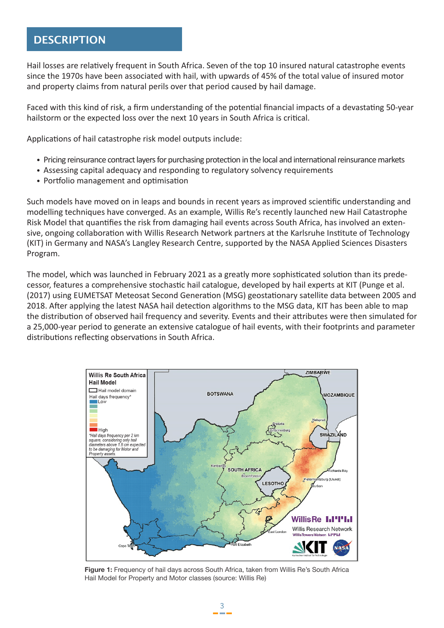### **DESCRIPTION**

Hail losses are relatively frequent in South Africa. Seven of the top 10 insured natural catastrophe events since the 1970s have been associated with hail, with upwards of 45% of the total value of insured motor and property claims from natural perils over that period caused by hail damage.

Faced with this kind of risk, a firm understanding of the potential financial impacts of a devastating 50-year hailstorm or the expected loss over the next 10 years in South Africa is critical.

Applications of hail catastrophe risk model outputs include:

- ∙ Pricing reinsurance contract layers for purchasing protection in the local and international reinsurance markets
- ∙ Assessing capital adequacy and responding to regulatory solvency requirements
- ∙ Portfolio management and optimisation

Such models have moved on in leaps and bounds in recent years as improved scientific understanding and modelling techniques have converged. As an example, Willis Re's recently launched new Hail Catastrophe Risk Model that quantifies the risk from damaging hail events across South Africa, has involved an extensive, ongoing collaboration with Willis Research Network partners at the Karlsruhe Institute of Technology (KIT) in Germany and NASA's Langley Research Centre, supported by the NASA Applied Sciences Disasters Program.

The model, which was launched in February 2021 as a greatly more sophisticated solution than its predecessor, features a comprehensive stochastic hail catalogue, developed by hail experts at KIT (Punge et al. (2017) using EUMETSAT Meteosat Second Generation (MSG) geostationary satellite data between 2005 and 2018. After applying the latest NASA hail detection algorithms to the MSG data, KIT has been able to map the distribution of observed hail frequency and severity. Events and their attributes were then simulated for a 25,000-year period to generate an extensive catalogue of hail events, with their footprints and parameter distributions reflecting observations in South Africa.



**Figure 1:** Frequency of hail days across South Africa, taken from Willis Re's South Africa Hail Model for Property and Motor classes (source: Willis Re)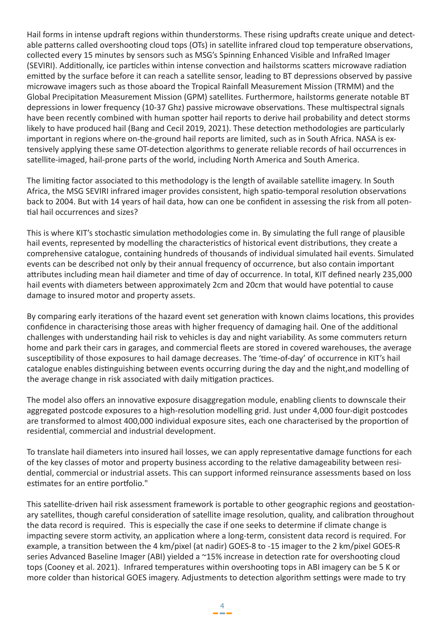Hail forms in intense updraft regions within thunderstorms. These rising updrafts create unique and detectable patterns called overshooting cloud tops (OTs) in satellite infrared cloud top temperature observations, collected every 15 minutes by sensors such as MSG's Spinning Enhanced Visible and InfraRed Imager (SEVIRI). Additionally, ice particles within intense convection and hailstorms scatters microwave radiation emitted by the surface before it can reach a satellite sensor, leading to BT depressions observed by passive microwave imagers such as those aboard the Tropical Rainfall Measurement Mission (TRMM) and the Global Precipitation Measurement Mission (GPM) satellites. Furthermore, hailstorms generate notable BT depressions in lower frequency (10-37 Ghz) passive microwave observations. These multispectral signals have been recently combined with human spotter hail reports to derive hail probability and detect storms likely to have produced hail (Bang and Cecil 2019, 2021). These detection methodologies are particularly important in regions where on-the-ground hail reports are limited, such as in South Africa. NASA is extensively applying these same OT-detection algorithms to generate reliable records of hail occurrences in satellite-imaged, hail-prone parts of the world, including North America and South America.

The limiting factor associated to this methodology is the length of available satellite imagery. In South Africa, the MSG SEVIRI infrared imager provides consistent, high spatio-temporal resolution observations back to 2004. But with 14 years of hail data, how can one be confident in assessing the risk from all potential hail occurrences and sizes?

This is where KIT's stochastic simulation methodologies come in. By simulating the full range of plausible hail events, represented by modelling the characteristics of historical event distributions, they create a comprehensive catalogue, containing hundreds of thousands of individual simulated hail events. Simulated events can be described not only by their annual frequency of occurrence, but also contain important attributes including mean hail diameter and time of day of occurrence. In total, KIT defined nearly 235,000 hail events with diameters between approximately 2cm and 20cm that would have potential to cause damage to insured motor and property assets.

By comparing early iterations of the hazard event set generation with known claims locations, this provides confidence in characterising those areas with higher frequency of damaging hail. One of the additional challenges with understanding hail risk to vehicles is day and night variability. As some commuters return home and park their cars in garages, and commercial fleets are stored in covered warehouses, the average susceptibility of those exposures to hail damage decreases. The 'time-of-day' of occurrence in KIT's hail catalogue enables distinguishing between events occurring during the day and the night,and modelling of the average change in risk associated with daily mitigation practices.

The model also offers an innovative exposure disaggregation module, enabling clients to downscale their aggregated postcode exposures to a high-resolution modelling grid. Just under 4,000 four-digit postcodes are transformed to almost 400,000 individual exposure sites, each one characterised by the proportion of residential, commercial and industrial development.

To translate hail diameters into insured hail losses, we can apply representative damage functions for each of the key classes of motor and property business according to the relative damageability between residential, commercial or industrial assets. This can support informed reinsurance assessments based on loss estimates for an entire portfolio."

This satellite-driven hail risk assessment framework is portable to other geographic regions and geostationary satellites, though careful consideration of satellite image resolution, quality, and calibration throughout the data record is required. This is especially the case if one seeks to determine if climate change is impacting severe storm activity, an application where a long-term, consistent data record is required. For example, a transition between the 4 km/pixel (at nadir) GOES-8 to -15 imager to the 2 km/pixel GOES-R series Advanced Baseline Imager (ABI) yielded a ~15% increase in detection rate for overshooting cloud tops (Cooney et al. 2021). Infrared temperatures within overshooting tops in ABI imagery can be 5 K or more colder than historical GOES imagery. Adjustments to detection algorithm settings were made to try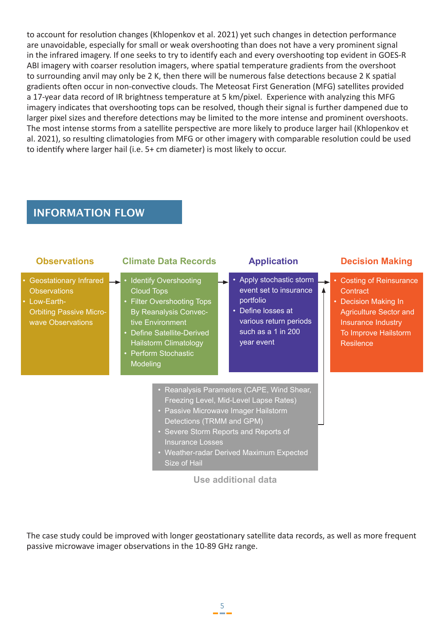to account for resolution changes (Khlopenkov et al. 2021) yet such changes in detection performance are unavoidable, especially for small or weak overshooting than does not have a very prominent signal in the infrared imagery. If one seeks to try to identify each and every overshooting top evident in GOES-R ABI imagery with coarser resolution imagers, where spatial temperature gradients from the overshoot to surrounding anvil may only be 2 K, then there will be numerous false detections because 2 K spatial gradients often occur in non-convective clouds. The Meteosat First Generation (MFG) satellites provided a 17-year data record of IR brightness temperature at 5 km/pixel. Experience with analyzing this MFG imagery indicates that overshooting tops can be resolved, though their signal is further dampened due to larger pixel sizes and therefore detections may be limited to the more intense and prominent overshoots. The most intense storms from a satellite perspective are more likely to produce larger hail (Khlopenkov et al. 2021), so resulting climatologies from MFG or other imagery with comparable resolution could be used to identify where larger hail (i.e. 5+ cm diameter) is most likely to occur.

## **INFORMATION FLOW**

| <b>Observations</b>                                                                                                    | <b>Climate Data Records</b>                                                                                                                                                                                                      | <b>Application</b>                                                                                                                                                                                                                             | <b>Decision Making</b>                                                                                                                                                 |
|------------------------------------------------------------------------------------------------------------------------|----------------------------------------------------------------------------------------------------------------------------------------------------------------------------------------------------------------------------------|------------------------------------------------------------------------------------------------------------------------------------------------------------------------------------------------------------------------------------------------|------------------------------------------------------------------------------------------------------------------------------------------------------------------------|
| • Geostationary Infrared<br><b>Observations</b><br>• Low-Earth-<br><b>Orbiting Passive Micro-</b><br>wave Observations | • Identify Overshooting<br><b>Cloud Tops</b><br>• Filter Overshooting Tops<br><b>By Reanalysis Convec-</b><br>tive Environment<br>• Define Satellite-Derived<br><b>Hailstorm Climatology</b><br>• Perform Stochastic<br>Modeling | Apply stochastic storm<br>٠<br>event set to insurance<br>portfolio<br>• Define losses at<br>various return periods<br>such as a 1 in 200<br>year event                                                                                         | • Costing of Reinsurance<br>Contract<br>• Decision Making In<br><b>Agriculture Sector and</b><br><b>Insurance Industry</b><br>To Improve Hailstorm<br><b>Resilence</b> |
|                                                                                                                        | <b>Insurance Losses</b><br>Size of Hail                                                                                                                                                                                          | • Reanalysis Parameters (CAPE, Wind Shear,<br>Freezing Level, Mid-Level Lapse Rates)<br>• Passive Microwave Imager Hailstorm<br>Detections (TRMM and GPM)<br>• Severe Storm Reports and Reports of<br>• Weather-radar Derived Maximum Expected |                                                                                                                                                                        |

**Use additional data**

The case study could be improved with longer geostationary satellite data records, as well as more frequent passive microwave imager observations in the 10-89 GHz range.

 $\frac{5}{1}$